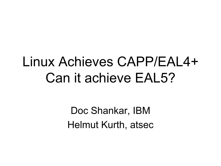## Linux Achieves CAPP/EAL4+Can it achieve EAL5?

Doc Shankar, IBM Helmut Kurth, atsec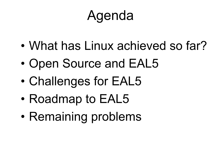## Agenda

- •What has Linux achieved so far?
- •Open Source and EAL5
- •Challenges for EAL5
- •Roadmap to EAL5
- •Remaining problems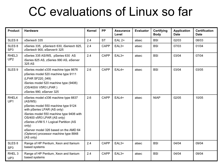#### CC evaluations of Linux so far

| <b>Product</b>                       | <b>Hardware</b>                                                                                                                                                                                                                                                                                                                                   | Kernel | <b>PP</b>   | <b>Assurance</b><br>Level | <b>Evaluator</b> | Certifying<br><b>Body</b> | <b>Application</b><br><b>Date</b> | <b>Certification</b><br><b>Date</b> |
|--------------------------------------|---------------------------------------------------------------------------------------------------------------------------------------------------------------------------------------------------------------------------------------------------------------------------------------------------------------------------------------------------|--------|-------------|---------------------------|------------------|---------------------------|-----------------------------------|-------------------------------------|
| SLES <sub>8</sub>                    | xSeries <sup>®</sup> 335                                                                                                                                                                                                                                                                                                                          | 2.4    | <b>ST</b>   | <b>EAL 2+</b>             | atsec            | <b>BSI</b>                | 02/03                             | 08/03                               |
| SLES <sub>8</sub><br>SP <sub>3</sub> | xSeries 335, pSeries® 630, iSeries® 825,<br>zSeries <sup>®</sup> 900, eServer <sup>®</sup> 325                                                                                                                                                                                                                                                    | 2.4    | <b>CAPP</b> | $EAL3+$                   | atsec            | <b>BSI</b>                | 07/03                             | 01/04                               |
| RHEL3<br>UP <sub>2</sub>             | xSeries 335 AS/WS, pSeries 630 AS<br>iSeries 825 AS, zSeries 990 AS, eServer<br>325 AS                                                                                                                                                                                                                                                            | 2.4    | <b>CAPP</b> | EAL3+                     | atsec            | <b>BSI</b>                | 03/04                             | 07/04                               |
| SLES <sub>9</sub>                    | xSeries model x335 machine type 8676<br>pSeries model 520 machine type 9111<br>(LPAR SF220 049)<br>iSeries model 520 machine type (9406)<br>(OS/400 <sup>®</sup> V5R3 LPAR)<br>zSeries 990, eServer 325                                                                                                                                           | 2.6    | <b>CAPP</b> | $EAL4+$                   | atsec            | <b>BSI</b>                | 03/04                             | 03/05                               |
| RHEL4<br>UP1                         | xSeries model x336 machine type 8837<br>(AS/WS)<br>pSeries model 550 machine type 9124<br>with pSeries LPAR (AS only)<br>iSeries model 550 machine type 9406 with<br>OS/400 v5R3 LPAR (AS only)<br>zSeries z/VM 5.1 Logical Partition (AS<br>only)<br>eServer model 326 based on the AMD 64<br>(Opteron) processor machine type 8848<br>(AS only) | 2.6    | <b>CAPP</b> | $EAL4+$                   | atsec            | <b>NIAP</b>               | 02/05                             | 10/05                               |
| SLES <sub>8</sub><br>SP <sub>3</sub> | Range of HP Pentium, Xeon and Itanium<br>based systems                                                                                                                                                                                                                                                                                            | 2.4    | <b>CAPP</b> | $EAL3+$                   | atsec            | <b>BSI</b>                | 04/04                             | 09/04                               |
| RHEL <sub>3</sub><br>UP3             | Range of HP Pentium, Xeon and Itanium<br>based systems                                                                                                                                                                                                                                                                                            | 2.4    | <b>CAPP</b> | EAL3+                     | atsec            | <b>BSI</b>                | 04/04                             | 09/04                               |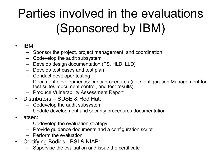## Parties involved in the evaluations (Sponsored by IBM)

#### $\bullet$ IBM:

- Sponsor the project, project management, and coordination
- Codevelop the audit subsystem
- Develop design documentation (FS, HLD, LLD)
- Develop test cases and test plan
- Conduct developer testing
- Document development/security procedures (i.e. Configuration Management for test suites, document control, and test results)
- Produce Vulnerability Assessment Report
- Distributors SUSE & Red Hat:
	- Codevelop the audit subsystem
	- Update development and security procedures documentation
- $\bullet$  atsec:
	- Codevelop the evaluation strategy
	- Provide guidance documents and a configuration script
	- Perform the evaluation
- $\bullet$  Certifying Bodies - BSI & NIAP:
	- Supervise the evaluation and issue the certificate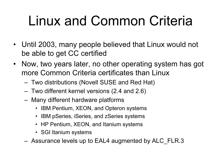## Linux and Common Criteria

- Until 2003, many people believed that Linux would not be able to get CC certified
- Now, two years later, no other operating system has got more Common Criteria certificates than Linux
	- Two distributions (Novell SUSE and Red Hat)
	- Two different kernel versions (2.4 and 2.6)
	- Many different hardware platforms
		- IBM Pentium, XEON, and Opteron systems
		- IBM pSeries, iSeries, and zSeries systems
		- HP Pentium, XEON, and Itanium systems
		- SGI Itanium systems
	- Assurance levels up to EAL4 augmented by ALC\_FLR.3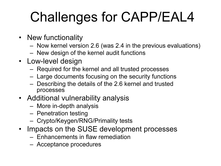## Challenges for CAPP/EAL4

- New functionality
	- Now kernel version 2.6 (was 2.4 in the previous evaluations)
	- New design of the kernel audit functions
- Low-level design
	- Required for the kernel and all trusted processes
	- Large documents focusing on the security functions
	- Describing the details of the 2.6 kernel and trusted processes
- Additional vulnerability analysis
	- More in-depth analysis
	- Penetration testing
	- Crypto/Keygen/RNG/Primality tests
- Impacts on the SUSE development processes
	- Enhancements in flaw remediation
	- Acceptance procedures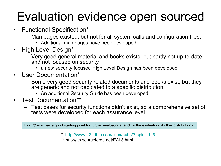#### Evaluation evidence open sourced

- Functional Specification\*
	- Man pages existed, but not for all system calls and configuration files.
		- Additional man pages have been developed.
- $\bullet$  High Level Design\*
	- Very good general material and books exists, but partly not up-to-date and not focused on security
		- a new security focused High Level Design has been developed
- $\bullet$  User Documentation\*
	- Some very good security related documents and books exist, but they are generic and not dedicated to a specific distribution.
		- An additional Security Guide has been developed.
- Test Documentation\*\*
	- Test cases for security functions didn't exist, so a comprehensive set of tests were developed for each assurance level.

Linux now has a good starting point for further evaluations, and for the evaluation of other distributions.

- \* http://www-124.ibm.com/linux/pubs/?topic\_id=5
- \*\* http://ltp.sourceforge.net/EAL3.html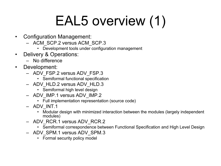## EAL5 overview (1)

- • Configuration Management:
	- ACM\_SCP.2 versus ACM\_SCP.3
		- Development tools under configuration management
- • Delivery & Operations:
	- No difference
- $\bullet$  Development:
	- ADV\_FSP.2 versus ADV\_FSP.3
		- Semiformal functional specification
	- ADV\_HLD.2 versus ADV\_HLD.3
		- Semiformal high level design
	- ADV\_IMP.1 versus ADV\_IMP.2
		- Full implementation representation (source code)
	- ADV\_INT.1
		- Modular design with minimized interaction between the modules (largely independent modules)
	- ADV\_RCR.1 versus ADV\_RCR.2
		- Semiformal correspondence between Functional Specification and High Level Design
	- ADV\_SPM.1 versus ADV\_SPM.3
		- Formal security policy model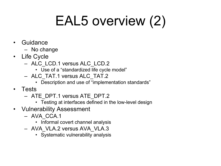## EAL5 overview (2)

- • Guidance
	- No change
- Life Cycle
	- ALC\_LCD.1 versus ALC\_LCD.2
		- Use of a "standardized life cycle model"
	- ALC\_TAT.1 versus ALC\_TAT.2
		- Description and use of "implementation standards"
- Tests
	- ATE\_DPT.1 versus ATE\_DPT.2
		- Testing at interfaces defined in the low-level design
- Vulnerability Assessment
	- AVA\_CCA.1
		- Informal covert channel analysis
	- AVA\_VLA.2 versus AVA\_VLA.3
		- Systematic vulnerability analysis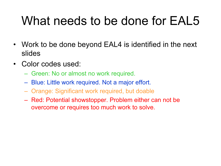#### What needs to be done for EAL5

- $\bullet$  Work to be done beyond EAL4 is identified in the next slides
- $\bullet$  Color codes used:
	- Green: No or almost no work required.
	- Blue: Little work required. Not a major effort.
	- Orange: Significant work required, but doable
	- Red: Potential showstopper. Problem either can not be overcome or requires too much work to solve.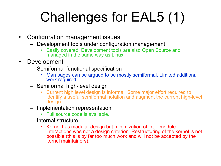# Challenges for EAL5 (1)

- • Configuration management issues
	- Development tools under configuration management
		- • Easily covered. Development tools are also Open Source and managed in the same way as Linux.
- • Development
	- Semiformal functional specification
		- • Man pages can be argued to be mostly semiformal. Limited additional work required.
	- Semiformal high-level design
		- • Current high level design is informal. Some major effort required to identify a useful semiformal notation and augment the current high-level design.
	- Implementation representation
		- Full source code is available.
	- Internal structure
		- • Kernel has modular design but minimization of inter-module interactions was not a design criterion. Restructuring of the kernel is not possible (this is by far too much work and will not be accepted by the kernel maintainers).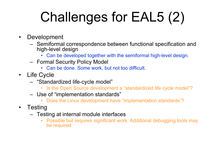# Challenges for EAL5 (2)

- • Development
	- Semiformal correspondence between functional specification and high-level design
		- Can be developed together with the semiformal high-level design.
	- Formal Security Policy Model
		- Can be done. Some work, but not too difficult.
- Life Cycle
	- "Standardized life-cycle model"
		- •Is the Open Source development a "standardized life cycle model"?
	- Use of "implementation standards"
		- •Does the Linux development have "implementation standards"?
- $\bullet$ **Testing** 
	- Testing at internal module interfaces
		- • Possible but requires significant work. Additional debugging tools may be required.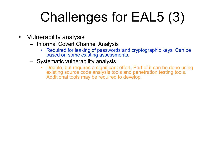## Challenges for EAL5 (3)

- $\bullet$  Vulnerability analysis
	- Informal Covert Channel Analysis
		- • Required for leaking of passwords and cryptographic keys. Can be based on some existing assessments.
	- Systematic vulnerability analysis
		- $\bullet$  Doable, but requires a significant effort. Part of it can be done using existing source code analysis tools and penetration testing tools. Additional tools may be required to develop.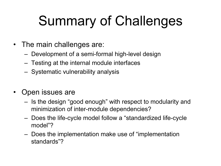## Summary of Challenges

- The main challenges are:
	- Development of a semi-formal high-level design
	- Testing at the internal module interfaces
	- Systematic vulnerability analysis
- $\bullet$  Open issues are
	- Is the design "good enough" with respect to modularity and minimization of inter-module dependencies?
	- Does the life-cycle model follow a "standardized life-cycle model"?
	- Does the implementation make use of "implementation standards"?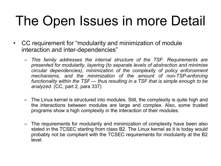## The Open Issues in more Detail

- CC requirement for "modularity and minimization of module interaction and inter-dependencies"
	- This family addresses the internal structure of the TSF. Requirements are presented for modularity, layering (to separate levels of abstraction and minimise circular dependencies), minimization of the complexity of policy enforcement mechanisms, and the minimization of the amount of non-TSP-enforcing functionality within the TSF — thus resulting in a TSF that is simple enough to be analyzed. (CC, part 2, para 337)
	- The Linux kernel is structured into modules. Still, the complexity is quite high and the interactions between modules are large and complex. Also, some trusted programs show a high complexity in the interaction of their modules.
	- The requirements for modularity and minimization of complexity have been also stated in the TCSEC starting from class B2. The Linux kernel as it is today would probably not be compliant with the TCSEC requirements for modularity at the B2 level.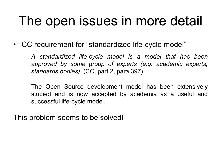## The open issues in more detail

- CC requirement for "standardized life-cycle model"
	- A standardized life-cycle model is a model that has been approved by some group of experts (e.g. academic experts, standards bodies). (CC, part 2, para 397)
	- The Open Source development model has been extensively studied and is now accepted by academia as a useful and successful life-cycle model.

This problem seems to be solved!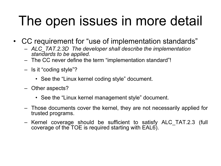## The open issues in more detail

- CC requirement for "use of implementation standards"
	- ALC\_TAT.2.3D The developer shall describe the implementation standards to be applied.
	- The CC never define the term "implementation standard"!
	- Is it "coding style"?
		- See the "Linux kernel coding style" document.
	- Other aspects?
		- See the "Linux kernel management style" document.
	- Those documents cover the kernel, they are not necessarily applied for trusted programs.
	- Kernel coverage should be sufficient to satisfy ALC\_TAT.2.3 (full coverage of the TOE is required starting with EAL6).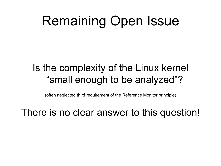## Remaining Open Issue

#### Is the complexity of the Linux kernel "small enough to be analyzed"?

(often neglected third requirement of the Reference Monitor principle)

There is no clear answer to this question!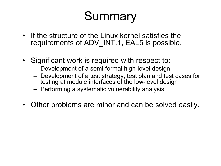#### Summary

- If the structure of the Linux kernel satisfies the requirements of ADV\_INT.1, EAL5 is possible.
- Significant work is required with respect to:
	- Development of a semi-formal high-level design
	- Development of a test strategy, test plan and test cases for testing at module interfaces of the low-level design
	- Performing a systematic vulnerability analysis
- $\bullet$ Other problems are minor and can be solved easily.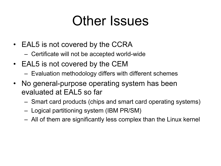#### Other Issues

- EAL5 is not covered by the CCRA
	- Certificate will not be accepted world-wide
- EAL5 is not covered by the CEM
	- Evaluation methodology differs with different schemes
- No general-purpose operating system has been evaluated at EAL5 so far
	- Smart card products (chips and smart card operating systems)
	- Logical partitioning system (IBM PR/SM)
	- All of them are significantly less complex than the Linux kernel